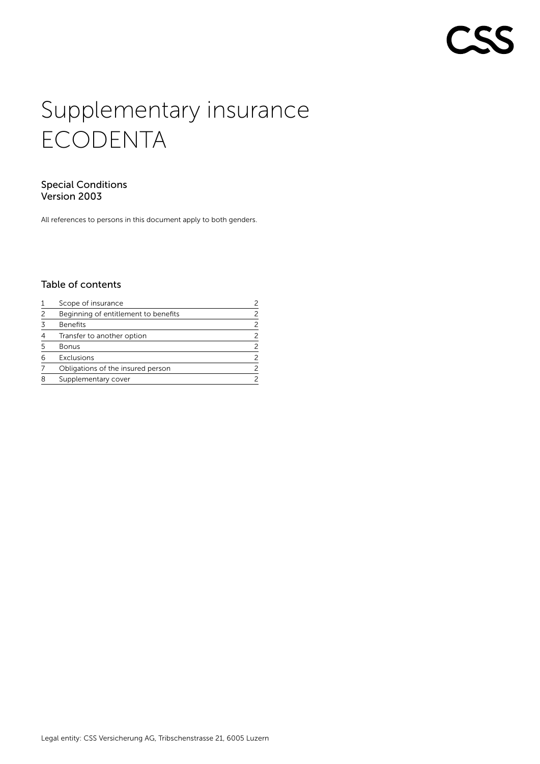# Supplementary insurance ECODENTA

## Special Conditions Version 2003

All references to persons in this document apply to both genders.

# Table of contents

|   | Scope of insurance                   |   |
|---|--------------------------------------|---|
| 2 | Beginning of entitlement to benefits |   |
| 3 | <b>Benefits</b>                      |   |
| 4 | Transfer to another option           |   |
| 5 | Bonus                                | 2 |
| 6 | Exclusions                           |   |
|   | Obligations of the insured person    |   |
| 8 | Supplementary cover                  |   |